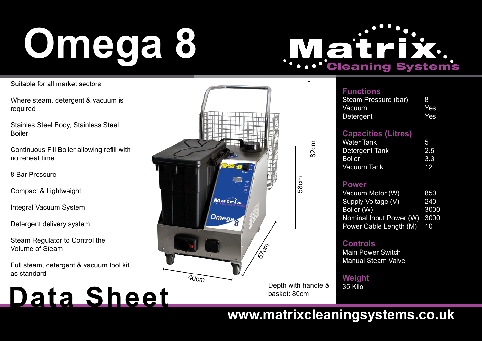## **8 Omega**

# **THE CLEANING Systems**

Suitable for all market sectors

Where steam, detergent & vacuum is required

Stainles Steel Body, Stainless Steel Boiler

Continuous Fill Boiler allowing refill with no reheat time

8 Bar Pressure

Compact & Lightweight

**Integral Vacuum System** 

Detergent delivery system

Steam Regulator to Control the Volume of Steam

Full steam, detergent & vacuum tool kit as standard

### **Data Sheet**



| <sup>=</sup> unctions |  |  |
|-----------------------|--|--|
|                       |  |  |

| Steam Pressure (bar) | -8  |
|----------------------|-----|
| Vacuum               | Yes |
| <b>Detergent</b>     | Yes |

#### **(Litres (Capacities**

| <b>Water Tank</b> | 5   |
|-------------------|-----|
| Detergent Tank    | 2.5 |
| <b>Boiler</b>     | 3.3 |
| Vacuum Tank       | 12. |

#### **Power**

| Vacuum Motor (W)        | 850  |
|-------------------------|------|
| Supply Voltage (V)      | 240  |
| Boiler (W)              | 3000 |
| Nominal Input Power (W) | 3000 |
| Power Cable Length (M)  | 10   |

#### **Controls**

**Main Power Switch Manual Steam Valve** 

**Weight**

35 Kilo

### www.matrixcleaningsystems.co.uk